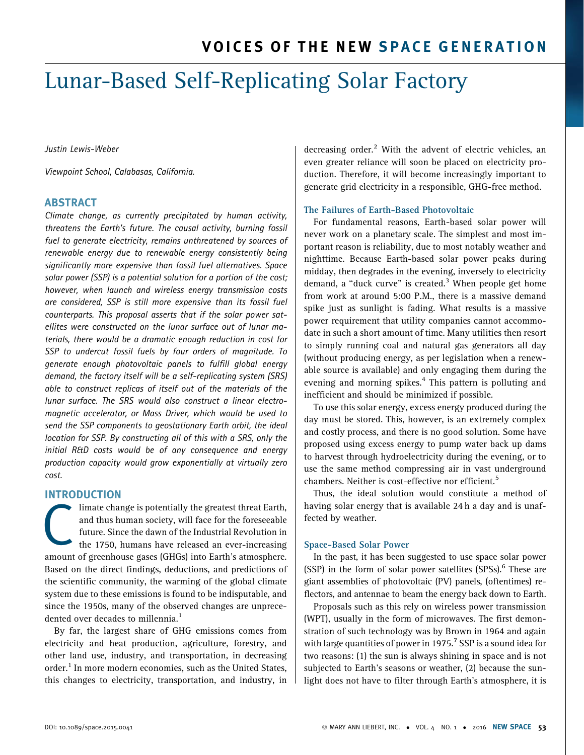# Lunar-Based Self-Replicating Solar Factory

Justin Lewis-Weber

Viewpoint School, Calabasas, California.

# ABSTRACT

Climate change, as currently precipitated by human activity, threatens the Earth's future. The causal activity, burning fossil fuel to generate electricity, remains unthreatened by sources of renewable energy due to renewable energy consistently being significantly more expensive than fossil fuel alternatives. Space solar power (SSP) is a potential solution for a portion of the cost; however, when launch and wireless energy transmission costs are considered, SSP is still more expensive than its fossil fuel counterparts. This proposal asserts that if the solar power satellites were constructed on the lunar surface out of lunar materials, there would be a dramatic enough reduction in cost for SSP to undercut fossil fuels by four orders of magnitude. To generate enough photovoltaic panels to fulfill global energy demand, the factory itself will be a self-replicating system (SRS) able to construct replicas of itself out of the materials of the lunar surface. The SRS would also construct a linear electromagnetic accelerator, or Mass Driver, which would be used to send the SSP components to geostationary Earth orbit, the ideal location for SSP. By constructing all of this with a SRS, only the initial R&D costs would be of any consequence and energy production capacity would grow exponentially at virtually zero cost.

# INTRODUCTION

Imate change is potentially the greatest threat Earth,<br>
and thus human society, will face for the foreseeable<br>
future. Since the dawn of the Industrial Revolution in<br>
the 1750, humans have released an ever-increasing<br>
amou and thus human society, will face for the foreseeable future. Since the dawn of the Industrial Revolution in amount of greenhouse gases (GHGs) into Earth's atmosphere. Based on the direct findings, deductions, and predictions of the scientific community, the warming of the global climate system due to these emissions is found to be indisputable, and since the 1950s, many of the observed changes are unprecedented over decades to millennia.<sup>1</sup>

By far, the largest share of GHG emissions comes from electricity and heat production, agriculture, forestry, and other land use, industry, and transportation, in decreasing order.<sup>1</sup> In more modern economies, such as the United States, this changes to electricity, transportation, and industry, in decreasing order.<sup>2</sup> With the advent of electric vehicles, an even greater reliance will soon be placed on electricity production. Therefore, it will become increasingly important to generate grid electricity in a responsible, GHG-free method.

# The Failures of Earth-Based Photovoltaic

For fundamental reasons, Earth-based solar power will never work on a planetary scale. The simplest and most important reason is reliability, due to most notably weather and nighttime. Because Earth-based solar power peaks during midday, then degrades in the evening, inversely to electricity demand, a "duck curve" is created. $3$  When people get home from work at around 5:00 P.M., there is a massive demand spike just as sunlight is fading. What results is a massive power requirement that utility companies cannot accommodate in such a short amount of time. Many utilities then resort to simply running coal and natural gas generators all day (without producing energy, as per legislation when a renewable source is available) and only engaging them during the evening and morning spikes.<sup>4</sup> This pattern is polluting and inefficient and should be minimized if possible.

To use this solar energy, excess energy produced during the day must be stored. This, however, is an extremely complex and costly process, and there is no good solution. Some have proposed using excess energy to pump water back up dams to harvest through hydroelectricity during the evening, or to use the same method compressing air in vast underground chambers. Neither is cost-effective nor efficient.<sup>5</sup>

Thus, the ideal solution would constitute a method of having solar energy that is available 24 h a day and is unaffected by weather.

# Space-Based Solar Power

In the past, it has been suggested to use space solar power (SSP) in the form of solar power satellites (SPSs).<sup>6</sup> These are giant assemblies of photovoltaic (PV) panels, (oftentimes) reflectors, and antennae to beam the energy back down to Earth.

Proposals such as this rely on wireless power transmission (WPT), usually in the form of microwaves. The first demonstration of such technology was by Brown in 1964 and again with large quantities of power in 1975.<sup>7</sup> SSP is a sound idea for two reasons: (1) the sun is always shining in space and is not subjected to Earth's seasons or weather, (2) because the sunlight does not have to filter through Earth's atmosphere, it is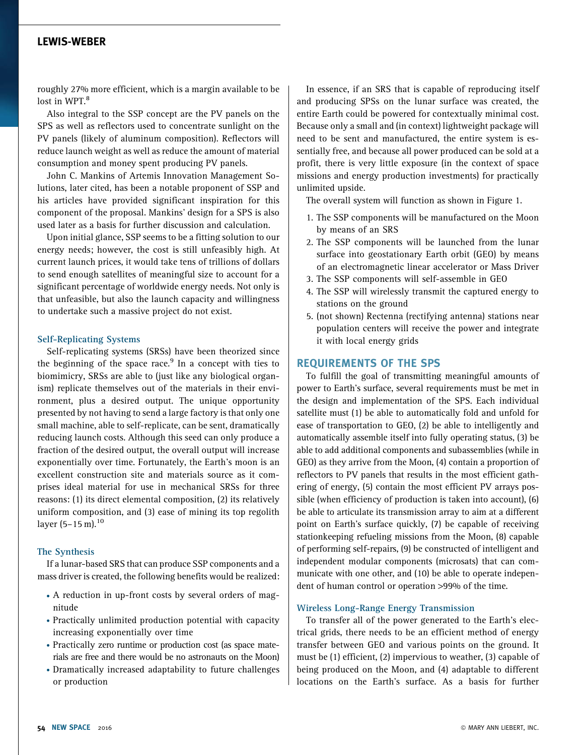roughly 27% more efficient, which is a margin available to be lost in WPT.<sup>8</sup>

Also integral to the SSP concept are the PV panels on the SPS as well as reflectors used to concentrate sunlight on the PV panels (likely of aluminum composition). Reflectors will reduce launch weight as well as reduce the amount of material consumption and money spent producing PV panels.

John C. Mankins of Artemis Innovation Management Solutions, later cited, has been a notable proponent of SSP and his articles have provided significant inspiration for this component of the proposal. Mankins' design for a SPS is also used later as a basis for further discussion and calculation.

Upon initial glance, SSP seems to be a fitting solution to our energy needs; however, the cost is still unfeasibly high. At current launch prices, it would take tens of trillions of dollars to send enough satellites of meaningful size to account for a significant percentage of worldwide energy needs. Not only is that unfeasible, but also the launch capacity and willingness to undertake such a massive project do not exist.

#### Self-Replicating Systems

Self-replicating systems (SRSs) have been theorized since the beginning of the space race. $9 \text{ In a concept with ties to}$ biomimicry, SRSs are able to (just like any biological organism) replicate themselves out of the materials in their environment, plus a desired output. The unique opportunity presented by not having to send a large factory is that only one small machine, able to self-replicate, can be sent, dramatically reducing launch costs. Although this seed can only produce a fraction of the desired output, the overall output will increase exponentially over time. Fortunately, the Earth's moon is an excellent construction site and materials source as it comprises ideal material for use in mechanical SRSs for three reasons: (1) its direct elemental composition, (2) its relatively uniform composition, and (3) ease of mining its top regolith layer  $(5-15 \text{ m})$ .<sup>10</sup>

#### The Synthesis

If a lunar-based SRS that can produce SSP components and a mass driver is created, the following benefits would be realized:

- . A reduction in up-front costs by several orders of magnitude
- . Practically unlimited production potential with capacity increasing exponentially over time
- . Practically zero runtime or production cost (as space materials are free and there would be no astronauts on the Moon)
- . Dramatically increased adaptability to future challenges or production

In essence, if an SRS that is capable of reproducing itself and producing SPSs on the lunar surface was created, the entire Earth could be powered for contextually minimal cost. Because only a small and (in context) lightweight package will need to be sent and manufactured, the entire system is essentially free, and because all power produced can be sold at a profit, there is very little exposure (in the context of space missions and energy production investments) for practically unlimited upside.

The overall system will function as shown in Figure 1.

- 1. The SSP components will be manufactured on the Moon by means of an SRS
- 2. The SSP components will be launched from the lunar surface into geostationary Earth orbit (GEO) by means of an electromagnetic linear accelerator or Mass Driver
- 3. The SSP components will self-assemble in GEO
- 4. The SSP will wirelessly transmit the captured energy to stations on the ground
- 5. (not shown) Rectenna (rectifying antenna) stations near population centers will receive the power and integrate it with local energy grids

### REQUIREMENTS OF THE SPS

To fulfill the goal of transmitting meaningful amounts of power to Earth's surface, several requirements must be met in the design and implementation of the SPS. Each individual satellite must (1) be able to automatically fold and unfold for ease of transportation to GEO, (2) be able to intelligently and automatically assemble itself into fully operating status, (3) be able to add additional components and subassemblies (while in GEO) as they arrive from the Moon, (4) contain a proportion of reflectors to PV panels that results in the most efficient gathering of energy, (5) contain the most efficient PV arrays possible (when efficiency of production is taken into account), (6) be able to articulate its transmission array to aim at a different point on Earth's surface quickly, (7) be capable of receiving stationkeeping refueling missions from the Moon, (8) capable of performing self-repairs, (9) be constructed of intelligent and independent modular components (microsats) that can communicate with one other, and (10) be able to operate independent of human control or operation >99% of the time.

#### Wireless Long-Range Energy Transmission

To transfer all of the power generated to the Earth's electrical grids, there needs to be an efficient method of energy transfer between GEO and various points on the ground. It must be (1) efficient, (2) impervious to weather, (3) capable of being produced on the Moon, and (4) adaptable to different locations on the Earth's surface. As a basis for further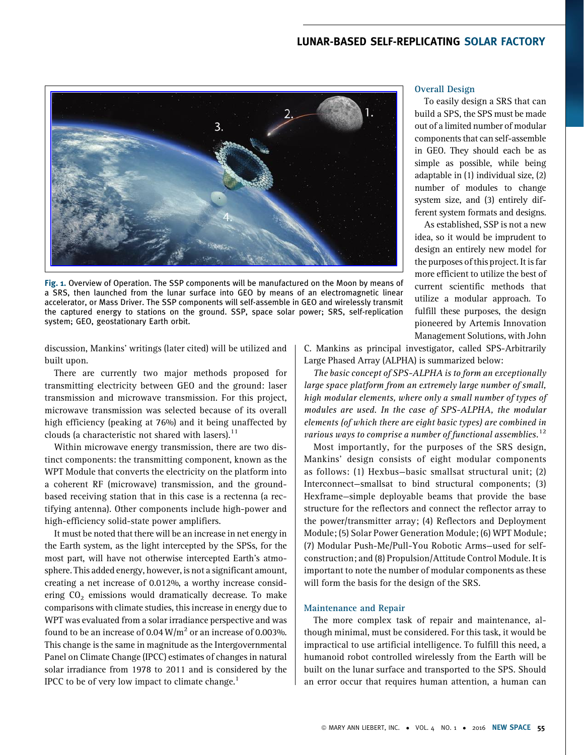

Fig. 1. Overview of Operation. The SSP components will be manufactured on the Moon by means of a SRS, then launched from the lunar surface into GEO by means of an electromagnetic linear accelerator, or Mass Driver. The SSP components will self-assemble in GEO and wirelessly transmit the captured energy to stations on the ground. SSP, space solar power; SRS, self-replication system; GEO, geostationary Earth orbit.

discussion, Mankins' writings (later cited) will be utilized and built upon.

There are currently two major methods proposed for transmitting electricity between GEO and the ground: laser transmission and microwave transmission. For this project, microwave transmission was selected because of its overall high efficiency (peaking at 76%) and it being unaffected by clouds (a characteristic not shared with lasers). $^{11}$ 

Within microwave energy transmission, there are two distinct components: the transmitting component, known as the WPT Module that converts the electricity on the platform into a coherent RF (microwave) transmission, and the groundbased receiving station that in this case is a rectenna (a rectifying antenna). Other components include high-power and high-efficiency solid-state power amplifiers.

It must be noted that there will be an increase in net energy in the Earth system, as the light intercepted by the SPSs, for the most part, will have not otherwise intercepted Earth's atmosphere. This added energy, however, is not a significant amount, creating a net increase of 0.012%, a worthy increase considering  $CO<sub>2</sub>$  emissions would dramatically decrease. To make comparisons with climate studies, this increase in energy due to WPT was evaluated from a solar irradiance perspective and was found to be an increase of 0.04  $W/m^2$  or an increase of 0.003%. This change is the same in magnitude as the Intergovernmental Panel on Climate Change (IPCC) estimates of changes in natural solar irradiance from 1978 to 2011 and is considered by the IPCC to be of very low impact to climate change. $<sup>1</sup>$ </sup>

#### Overall Design

To easily design a SRS that can build a SPS, the SPS must be made out of a limited number of modular components that can self-assemble in GEO. They should each be as simple as possible, while being adaptable in (1) individual size, (2) number of modules to change system size, and (3) entirely different system formats and designs.

As established, SSP is not a new idea, so it would be imprudent to design an entirely new model for the purposes of this project. It is far more efficient to utilize the best of current scientific methods that utilize a modular approach. To fulfill these purposes, the design pioneered by Artemis Innovation Management Solutions, with John

C. Mankins as principal investigator, called SPS-Arbitrarily Large Phased Array (ALPHA) is summarized below:

The basic concept of SPS-ALPHA is to form an exceptionally large space platform from an extremely large number of small, high modular elements, where only a small number of types of modules are used. In the case of SPS-ALPHA, the modular elements (of which there are eight basic types) are combined in various ways to comprise a number of functional assemblies.<sup>12</sup>

Most importantly, for the purposes of the SRS design, Mankins' design consists of eight modular components as follows: (1) Hexbus—basic smallsat structural unit; (2) Interconnect—smallsat to bind structural components; (3) Hexframe—simple deployable beams that provide the base structure for the reflectors and connect the reflector array to the power/transmitter array; (4) Reflectors and Deployment Module; (5) Solar Power Generation Module; (6) WPT Module; (7) Modular Push-Me/Pull-You Robotic Arms—used for selfconstruction; and (8) Propulsion/Attitude Control Module. It is important to note the number of modular components as these will form the basis for the design of the SRS.

#### Maintenance and Repair

The more complex task of repair and maintenance, although minimal, must be considered. For this task, it would be impractical to use artificial intelligence. To fulfill this need, a humanoid robot controlled wirelessly from the Earth will be built on the lunar surface and transported to the SPS. Should an error occur that requires human attention, a human can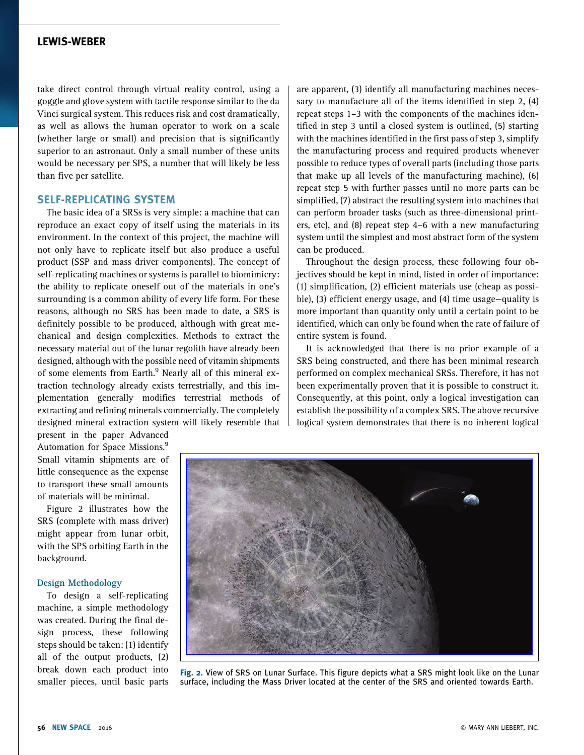take direct control through virtual reality control, using a goggle and glove system with tactile response similar to the da Vinci surgical system. This reduces risk and cost dramatically, as well as allows the human operator to work on a scale (whether large or small) and precision that is significantly superior to an astronaut. Only a small number of these units would be necessary per SPS, a number that will likely be less than five per satellite.

# SELF-REPLICATING SYSTEM

The basic idea of a SRSs is very simple: a machine that can reproduce an exact copy of itself using the materials in its environment. In the context of this project, the machine will not only have to replicate itself but also produce a useful product (SSP and mass driver components). The concept of self-replicating machines or systems is parallel to biomimicry: the ability to replicate oneself out of the materials in one's surrounding is a common ability of every life form. For these reasons, although no SRS has been made to date, a SRS is definitely possible to be produced, although with great mechanical and design complexities. Methods to extract the necessary material out of the lunar regolith have already been designed, although with the possible need of vitamin shipments of some elements from Earth.<sup>9</sup> Nearly all of this mineral extraction technology already exists terrestrially, and this implementation generally modifies terrestrial methods of extracting and refining minerals commercially. The completely designed mineral extraction system will likely resemble that

present in the paper Advanced Automation for Space Missions.<sup>9</sup> Small vitamin shipments are of little consequence as the expense to transport these small amounts of materials will be minimal.

Figure 2 illustrates how the SRS (complete with mass driver) might appear from lunar orbit, with the SPS orbiting Earth in the background.

#### Design Methodology

To design a self-replicating machine, a simple methodology was created. During the final design process, these following steps should be taken: (1) identify all of the output products, (2) break down each product into smaller pieces, until basic parts

are apparent, (3) identify all manufacturing machines necessary to manufacture all of the items identified in step 2, (4) repeat steps 1–3 with the components of the machines identified in step 3 until a closed system is outlined, (5) starting with the machines identified in the first pass of step 3, simplify the manufacturing process and required products whenever possible to reduce types of overall parts (including those parts that make up all levels of the manufacturing machine), (6) repeat step 5 with further passes until no more parts can be simplified, (7) abstract the resulting system into machines that can perform broader tasks (such as three-dimensional printers, etc), and (8) repeat step 4–6 with a new manufacturing system until the simplest and most abstract form of the system can be produced.

Throughout the design process, these following four objectives should be kept in mind, listed in order of importance: (1) simplification, (2) efficient materials use (cheap as possible), (3) efficient energy usage, and (4) time usage—quality is more important than quantity only until a certain point to be identified, which can only be found when the rate of failure of entire system is found.

It is acknowledged that there is no prior example of a SRS being constructed, and there has been minimal research performed on complex mechanical SRSs. Therefore, it has not been experimentally proven that it is possible to construct it. Consequently, at this point, only a logical investigation can establish the possibility of a complex SRS. The above recursive logical system demonstrates that there is no inherent logical



Fig. 2. View of SRS on Lunar Surface. This figure depicts what a SRS might look like on the Lunar surface, including the Mass Driver located at the center of the SRS and oriented towards Earth.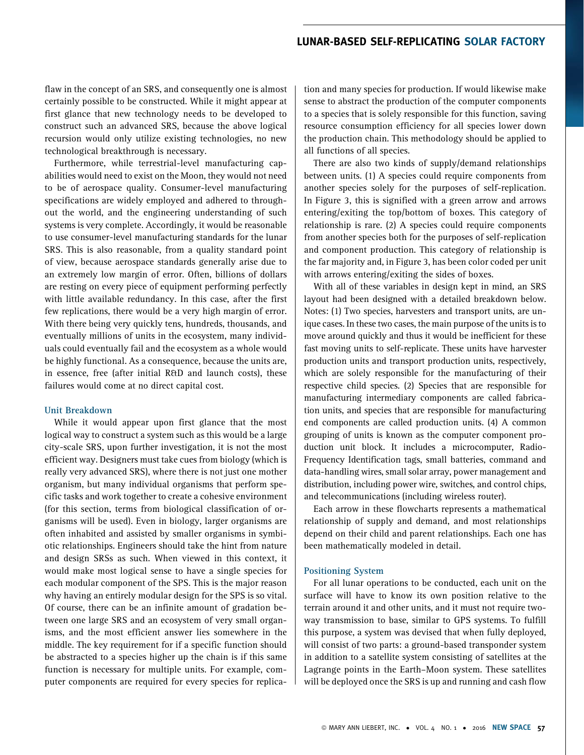flaw in the concept of an SRS, and consequently one is almost certainly possible to be constructed. While it might appear at first glance that new technology needs to be developed to construct such an advanced SRS, because the above logical recursion would only utilize existing technologies, no new technological breakthrough is necessary.

Furthermore, while terrestrial-level manufacturing capabilities would need to exist on the Moon, they would not need to be of aerospace quality. Consumer-level manufacturing specifications are widely employed and adhered to throughout the world, and the engineering understanding of such systems is very complete. Accordingly, it would be reasonable to use consumer-level manufacturing standards for the lunar SRS. This is also reasonable, from a quality standard point of view, because aerospace standards generally arise due to an extremely low margin of error. Often, billions of dollars are resting on every piece of equipment performing perfectly with little available redundancy. In this case, after the first few replications, there would be a very high margin of error. With there being very quickly tens, hundreds, thousands, and eventually millions of units in the ecosystem, many individuals could eventually fail and the ecosystem as a whole would be highly functional. As a consequence, because the units are, in essence, free (after initial R&D and launch costs), these failures would come at no direct capital cost.

#### Unit Breakdown

While it would appear upon first glance that the most logical way to construct a system such as this would be a large city-scale SRS, upon further investigation, it is not the most efficient way. Designers must take cues from biology (which is really very advanced SRS), where there is not just one mother organism, but many individual organisms that perform specific tasks and work together to create a cohesive environment (for this section, terms from biological classification of organisms will be used). Even in biology, larger organisms are often inhabited and assisted by smaller organisms in symbiotic relationships. Engineers should take the hint from nature and design SRSs as such. When viewed in this context, it would make most logical sense to have a single species for each modular component of the SPS. This is the major reason why having an entirely modular design for the SPS is so vital. Of course, there can be an infinite amount of gradation between one large SRS and an ecosystem of very small organisms, and the most efficient answer lies somewhere in the middle. The key requirement for if a specific function should be abstracted to a species higher up the chain is if this same function is necessary for multiple units. For example, computer components are required for every species for replication and many species for production. If would likewise make sense to abstract the production of the computer components to a species that is solely responsible for this function, saving resource consumption efficiency for all species lower down the production chain. This methodology should be applied to all functions of all species.

There are also two kinds of supply/demand relationships between units. (1) A species could require components from another species solely for the purposes of self-replication. In Figure 3, this is signified with a green arrow and arrows entering/exiting the top/bottom of boxes. This category of relationship is rare. (2) A species could require components from another species both for the purposes of self-replication and component production. This category of relationship is the far majority and, in Figure 3, has been color coded per unit with arrows entering/exiting the sides of boxes.

With all of these variables in design kept in mind, an SRS layout had been designed with a detailed breakdown below. Notes: (1) Two species, harvesters and transport units, are unique cases. In these two cases, the main purpose of the units is to move around quickly and thus it would be inefficient for these fast moving units to self-replicate. These units have harvester production units and transport production units, respectively, which are solely responsible for the manufacturing of their respective child species. (2) Species that are responsible for manufacturing intermediary components are called fabrication units, and species that are responsible for manufacturing end components are called production units. (4) A common grouping of units is known as the computer component production unit block. It includes a microcomputer, Radio-Frequency Identification tags, small batteries, command and data-handling wires, small solar array, power management and distribution, including power wire, switches, and control chips, and telecommunications (including wireless router).

Each arrow in these flowcharts represents a mathematical relationship of supply and demand, and most relationships depend on their child and parent relationships. Each one has been mathematically modeled in detail.

#### Positioning System

For all lunar operations to be conducted, each unit on the surface will have to know its own position relative to the terrain around it and other units, and it must not require twoway transmission to base, similar to GPS systems. To fulfill this purpose, a system was devised that when fully deployed, will consist of two parts: a ground-based transponder system in addition to a satellite system consisting of satellites at the Lagrange points in the Earth–Moon system. These satellites will be deployed once the SRS is up and running and cash flow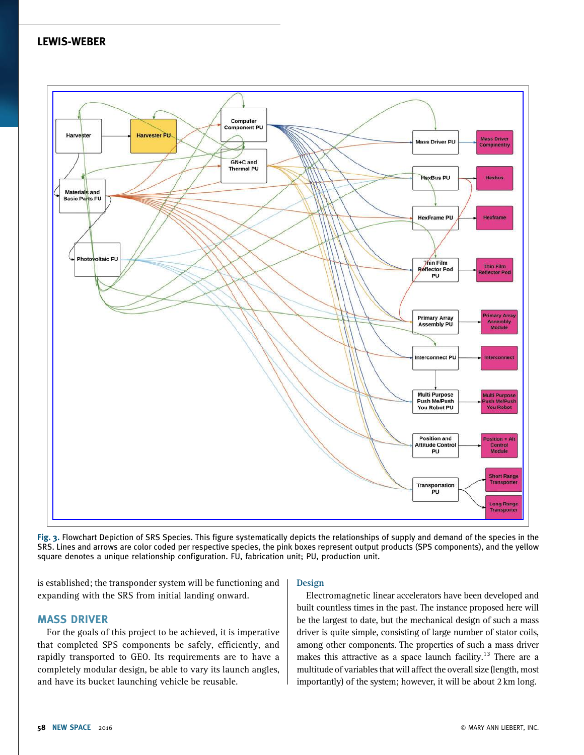

Fig. 3. Flowchart Depiction of SRS Species. This figure systematically depicts the relationships of supply and demand of the species in the SRS. Lines and arrows are color coded per respective species, the pink boxes represent output products (SPS components), and the yellow square denotes a unique relationship configuration. FU, fabrication unit; PU, production unit.

is established; the transponder system will be functioning and expanding with the SRS from initial landing onward.

# MASS DRIVER

For the goals of this project to be achieved, it is imperative that completed SPS components be safely, efficiently, and rapidly transported to GEO. Its requirements are to have a completely modular design, be able to vary its launch angles, and have its bucket launching vehicle be reusable.

#### Design

Electromagnetic linear accelerators have been developed and built countless times in the past. The instance proposed here will be the largest to date, but the mechanical design of such a mass driver is quite simple, consisting of large number of stator coils, among other components. The properties of such a mass driver makes this attractive as a space launch facility.<sup>13</sup> There are a multitude of variables that will affect the overall size (length, most importantly) of the system; however, it will be about 2 km long.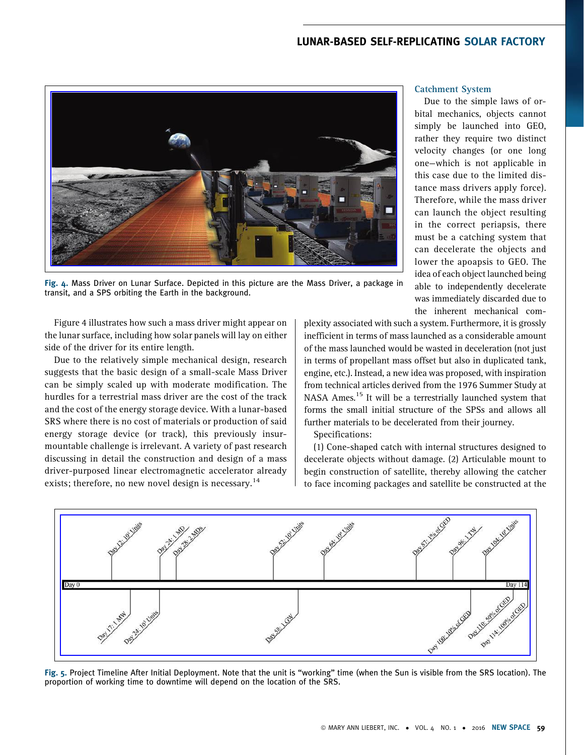

Fig. 4. Mass Driver on Lunar Surface. Depicted in this picture are the Mass Driver, a package in transit, and a SPS orbiting the Earth in the background.

Figure 4 illustrates how such a mass driver might appear on the lunar surface, including how solar panels will lay on either side of the driver for its entire length.

Due to the relatively simple mechanical design, research suggests that the basic design of a small-scale Mass Driver can be simply scaled up with moderate modification. The hurdles for a terrestrial mass driver are the cost of the track and the cost of the energy storage device. With a lunar-based SRS where there is no cost of materials or production of said energy storage device (or track), this previously insurmountable challenge is irrelevant. A variety of past research discussing in detail the construction and design of a mass driver-purposed linear electromagnetic accelerator already exists; therefore, no new novel design is necessary. $^{14}$ 

#### Catchment System

Due to the simple laws of orbital mechanics, objects cannot simply be launched into GEO, rather they require two distinct velocity changes (or one long one—which is not applicable in this case due to the limited distance mass drivers apply force). Therefore, while the mass driver can launch the object resulting in the correct periapsis, there must be a catching system that can decelerate the objects and lower the apoapsis to GEO. The idea of each object launched being able to independently decelerate was immediately discarded due to the inherent mechanical com-

plexity associated with such a system. Furthermore, it is grossly inefficient in terms of mass launched as a considerable amount of the mass launched would be wasted in deceleration (not just in terms of propellant mass offset but also in duplicated tank, engine, etc.). Instead, a new idea was proposed, with inspiration from technical articles derived from the 1976 Summer Study at NASA Ames.<sup>15</sup> It will be a terrestrially launched system that forms the small initial structure of the SPSs and allows all further materials to be decelerated from their journey.

Specifications:

(1) Cone-shaped catch with internal structures designed to decelerate objects without damage. (2) Articulable mount to begin construction of satellite, thereby allowing the catcher to face incoming packages and satellite be constructed at the



Fig. 5. Project Timeline After Initial Deployment. Note that the unit is ''working'' time (when the Sun is visible from the SRS location). The proportion of working time to downtime will depend on the location of the SRS.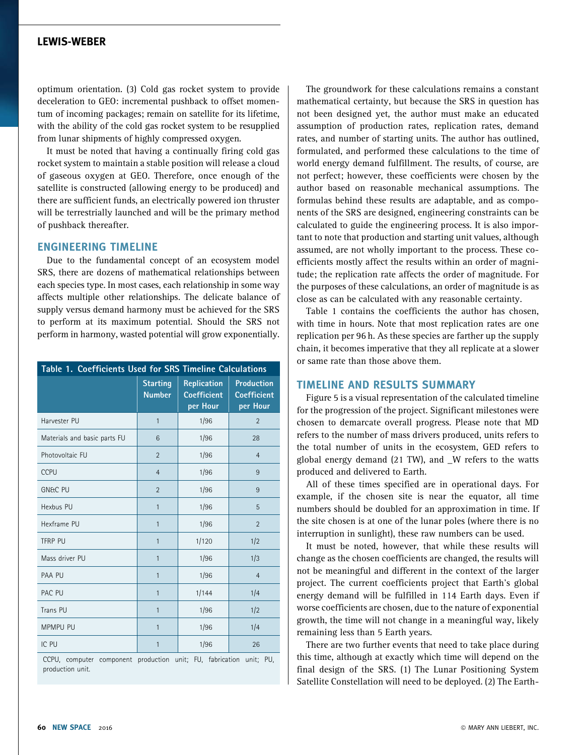optimum orientation. (3) Cold gas rocket system to provide deceleration to GEO: incremental pushback to offset momentum of incoming packages; remain on satellite for its lifetime, with the ability of the cold gas rocket system to be resupplied from lunar shipments of highly compressed oxygen.

It must be noted that having a continually firing cold gas rocket system to maintain a stable position will release a cloud of gaseous oxygen at GEO. Therefore, once enough of the satellite is constructed (allowing energy to be produced) and there are sufficient funds, an electrically powered ion thruster will be terrestrially launched and will be the primary method of pushback thereafter.

# ENGINEERING TIMELINE

Due to the fundamental concept of an ecosystem model SRS, there are dozens of mathematical relationships between each species type. In most cases, each relationship in some way affects multiple other relationships. The delicate balance of supply versus demand harmony must be achieved for the SRS to perform at its maximum potential. Should the SRS not perform in harmony, wasted potential will grow exponentially.

Table 1. Coefficients Used for SRS Timeline Calculations

| . avıc<br><b>IT COCTTICIONS</b> OSCATION SHO<br><b>THISHIK CARATACIONS</b> |                                  |                                               |                                                     |
|----------------------------------------------------------------------------|----------------------------------|-----------------------------------------------|-----------------------------------------------------|
|                                                                            | <b>Starting</b><br><b>Number</b> | Replication<br><b>Coefficient</b><br>per Hour | <b>Production</b><br><b>Coefficient</b><br>per Hour |
| Harvester PU                                                               | $\mathbf{1}$                     | 1/96                                          | $\overline{2}$                                      |
| Materials and basic parts FU                                               | 6                                | 1/96                                          | 28                                                  |
| Photovoltaic FU                                                            | $\overline{2}$                   | 1/96                                          | $\overline{4}$                                      |
| <b>CCPU</b>                                                                | $\overline{4}$                   | 1/96                                          | 9                                                   |
| <b>GN&amp;C PU</b>                                                         | $\overline{2}$                   | 1/96                                          | 9                                                   |
| Hexbus PU                                                                  | $\mathbf{1}$                     | 1/96                                          | 5                                                   |
| Hexframe PU                                                                | $\mathbf{1}$                     | 1/96                                          | $\overline{2}$                                      |
| <b>TFRP PU</b>                                                             | $\mathbf{1}$                     | 1/120                                         | 1/2                                                 |
| Mass driver PU                                                             | 1                                | 1/96                                          | 1/3                                                 |
| PAA PU                                                                     | $\mathbf{1}$                     | 1/96                                          | $\overline{4}$                                      |
| PAC PU                                                                     | $\mathbf{1}$                     | 1/144                                         | 1/4                                                 |
| Trans PU                                                                   | $\mathbf{1}$                     | 1/96                                          | 1/2                                                 |
| <b>MPMPU PU</b>                                                            | $\mathbf{1}$                     | 1/96                                          | 1/4                                                 |
| IC PU                                                                      | $\mathbf{1}$                     | 1/96                                          | 26                                                  |

CCPU, computer component production unit; FU, fabrication unit; PU, production unit.

The groundwork for these calculations remains a constant mathematical certainty, but because the SRS in question has not been designed yet, the author must make an educated assumption of production rates, replication rates, demand rates, and number of starting units. The author has outlined, formulated, and performed these calculations to the time of world energy demand fulfillment. The results, of course, are not perfect; however, these coefficients were chosen by the author based on reasonable mechanical assumptions. The formulas behind these results are adaptable, and as components of the SRS are designed, engineering constraints can be calculated to guide the engineering process. It is also important to note that production and starting unit values, although assumed, are not wholly important to the process. These coefficients mostly affect the results within an order of magnitude; the replication rate affects the order of magnitude. For the purposes of these calculations, an order of magnitude is as close as can be calculated with any reasonable certainty.

Table 1 contains the coefficients the author has chosen, with time in hours. Note that most replication rates are one replication per 96 h. As these species are farther up the supply chain, it becomes imperative that they all replicate at a slower or same rate than those above them.

#### TIMELINE AND RESULTS SUMMARY

Figure 5 is a visual representation of the calculated timeline for the progression of the project. Significant milestones were chosen to demarcate overall progress. Please note that MD refers to the number of mass drivers produced, units refers to the total number of units in the ecosystem, GED refers to global energy demand (21 TW), and \_W refers to the watts produced and delivered to Earth.

All of these times specified are in operational days. For example, if the chosen site is near the equator, all time numbers should be doubled for an approximation in time. If the site chosen is at one of the lunar poles (where there is no interruption in sunlight), these raw numbers can be used.

It must be noted, however, that while these results will change as the chosen coefficients are changed, the results will not be meaningful and different in the context of the larger project. The current coefficients project that Earth's global energy demand will be fulfilled in 114 Earth days. Even if worse coefficients are chosen, due to the nature of exponential growth, the time will not change in a meaningful way, likely remaining less than 5 Earth years.

There are two further events that need to take place during this time, although at exactly which time will depend on the final design of the SRS. (1) The Lunar Positioning System Satellite Constellation will need to be deployed. (2) The Earth-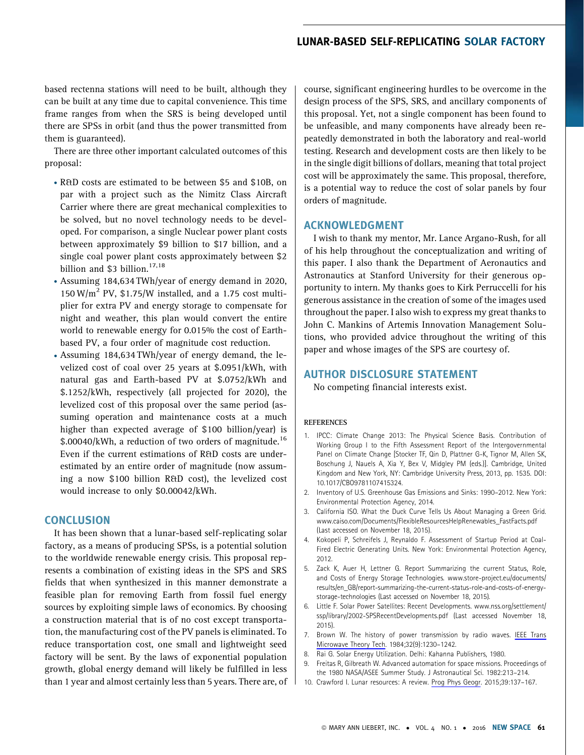based rectenna stations will need to be built, although they can be built at any time due to capital convenience. This time frame ranges from when the SRS is being developed until there are SPSs in orbit (and thus the power transmitted from them is guaranteed).

There are three other important calculated outcomes of this proposal:

- . R&D costs are estimated to be between \$5 and \$10B, on par with a project such as the Nimitz Class Aircraft Carrier where there are great mechanical complexities to be solved, but no novel technology needs to be developed. For comparison, a single Nuclear power plant costs between approximately \$9 billion to \$17 billion, and a single coal power plant costs approximately between \$2 billion and \$3 billion.<sup>17,18</sup>
- . Assuming 184,634 TWh/year of energy demand in 2020, 150 W/m<sup>2</sup> PV, \$1.75/W installed, and a 1.75 cost multiplier for extra PV and energy storage to compensate for night and weather, this plan would convert the entire world to renewable energy for 0.015% the cost of Earthbased PV, a four order of magnitude cost reduction.
- . Assuming 184,634 TWh/year of energy demand, the levelized cost of coal over 25 years at \$.0951/kWh, with natural gas and Earth-based PV at \$.0752/kWh and \$.1252/kWh, respectively (all projected for 2020), the levelized cost of this proposal over the same period (assuming operation and maintenance costs at a much higher than expected average of \$100 billion/year) is \$.00040/kWh, a reduction of two orders of magnitude.<sup>16</sup> Even if the current estimations of R&D costs are underestimated by an entire order of magnitude (now assuming a now \$100 billion R&D cost), the levelized cost would increase to only \$0.00042/kWh.

#### **CONCLUSION**

It has been shown that a lunar-based self-replicating solar factory, as a means of producing SPSs, is a potential solution to the worldwide renewable energy crisis. This proposal represents a combination of existing ideas in the SPS and SRS fields that when synthesized in this manner demonstrate a feasible plan for removing Earth from fossil fuel energy sources by exploiting simple laws of economics. By choosing a construction material that is of no cost except transportation, the manufacturing cost of the PV panels is eliminated. To reduce transportation cost, one small and lightweight seed factory will be sent. By the laws of exponential population growth, global energy demand will likely be fulfilled in less than 1 year and almost certainly less than 5 years. There are, of course, significant engineering hurdles to be overcome in the design process of the SPS, SRS, and ancillary components of this proposal. Yet, not a single component has been found to be unfeasible, and many components have already been repeatedly demonstrated in both the laboratory and real-world testing. Research and development costs are then likely to be in the single digit billions of dollars, meaning that total project cost will be approximately the same. This proposal, therefore, is a potential way to reduce the cost of solar panels by four orders of magnitude.

# ACKNOWLEDGMENT

I wish to thank my mentor, Mr. Lance Argano-Rush, for all of his help throughout the conceptualization and writing of this paper. I also thank the Department of Aeronautics and Astronautics at Stanford University for their generous opportunity to intern. My thanks goes to Kirk Perruccelli for his generous assistance in the creation of some of the images used throughout the paper. I also wish to express my great thanks to John C. Mankins of Artemis Innovation Management Solutions, who provided advice throughout the writing of this paper and whose images of the SPS are courtesy of.

# AUTHOR DISCLOSURE STATEMENT

No competing financial interests exist.

#### **REFERENCES**

- 1. IPCC: Climate Change 2013: The Physical Science Basis. Contribution of Working Group I to the Fifth Assessment Report of the Intergovernmental Panel on Climate Change [Stocker TF, Qin D, Plattner G-K, Tignor M, Allen SK, Boschung J, Nauels A, Xia Y, Bex V, Midgley PM (eds.)]. Cambridge, United Kingdom and New York, NY: Cambridge University Press, 2013, pp. 1535. DOI: 10.1017/CBO9781107415324.
- 2. Inventory of U.S. Greenhouse Gas Emissions and Sinks: 1990–2012. New York: Environmental Protection Agency, 2014.
- 3. California ISO. What the Duck Curve Tells Us About Managing a Green Grid. www.caiso.com/Documents/FlexibleResourcesHelpRenewables\_FastFacts.pdf (Last accessed on November 18, 2015).
- 4. Kokopeli P, Schreifels J, Reynaldo F. Assessment of Startup Period at Coal-Fired Electric Generating Units. New York: Environmental Protection Agency, 2012.
- 5. Zack K, Auer H, Lettner G. Report Summarizing the current Status, Role, and Costs of Energy Storage Technologies. www.store-project.eu/documents/ results/en\_GB/report-summarizing-the-current-status-role-and-costs-of-energystorage-technologies (Last accessed on November 18, 2015).
- 6. Little F. Solar Power Satellites: Recent Developments. www.nss.org/settlement/ ssp/library/2002-SPSRecentDevelopments.pdf (Last accessed November 18, 2015).
- 7. Brown W. The history of power transmission by radio waves. [IEEE Trans](http://online.liebertpub.com/action/showLinks?crossref=10.1109%2FTMTT.1984.1132833) [Microwave Theory Tech](http://online.liebertpub.com/action/showLinks?crossref=10.1109%2FTMTT.1984.1132833). 1984;32(9):1230–1242.
- Rai G. Solar Energy Utilization. Delhi: Kahanna Publishers, 1980.
- 9. Freitas R, Gilbreath W. Advanced automation for space missions. Proceedings of the 1980 NASA/ASEE Summer Study. J Astronautical Sci. 1982:213–214.
- 10. Crawford I. Lunar resources: A review. [Prog Phys Geogr](http://online.liebertpub.com/action/showLinks?crossref=10.1177%2F0309133314567585). 2015;39:137–167.